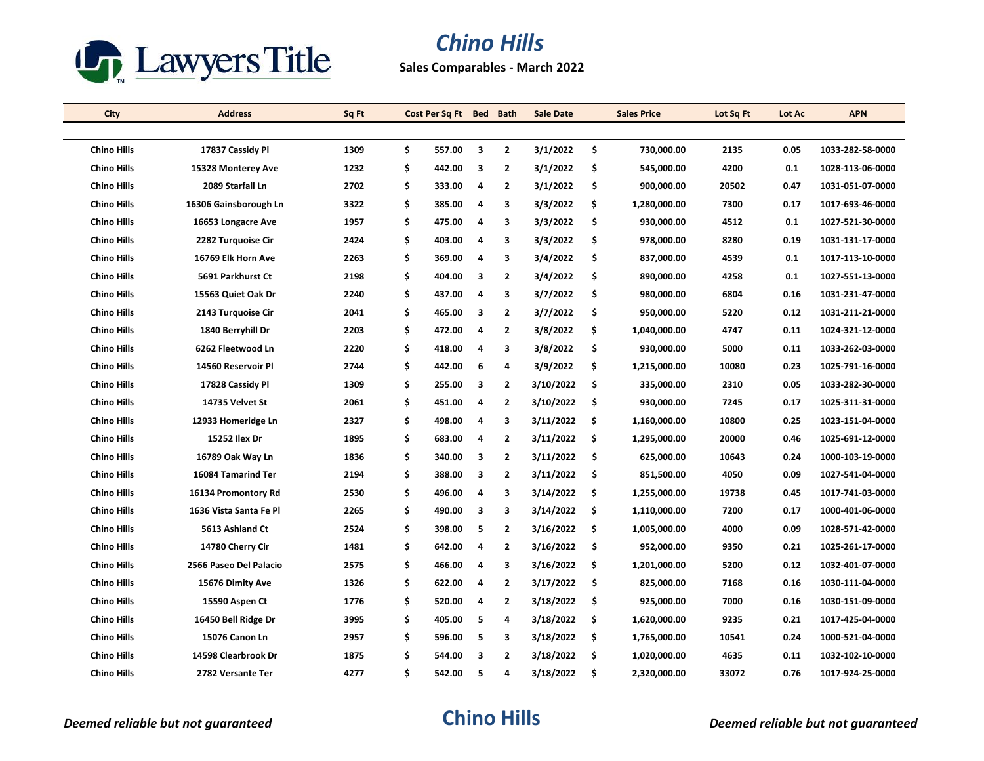

## *Chino Hills*

**Sales Comparables - March 2022**

| City               | <b>Address</b>         | Sq Ft |    | Cost Per Sq Ft Bed Bath |                         |                         | <b>Sale Date</b> |     | <b>Sales Price</b> | Lot Sq Ft | Lot Ac | <b>APN</b>       |
|--------------------|------------------------|-------|----|-------------------------|-------------------------|-------------------------|------------------|-----|--------------------|-----------|--------|------------------|
|                    |                        |       |    |                         |                         |                         |                  |     |                    |           |        |                  |
| <b>Chino Hills</b> | 17837 Cassidy Pl       | 1309  | \$ | 557.00                  | $\overline{\mathbf{3}}$ | $\overline{2}$          | 3/1/2022         | \$  | 730,000.00         | 2135      | 0.05   | 1033-282-58-0000 |
| <b>Chino Hills</b> | 15328 Monterey Ave     | 1232  | \$ | 442.00                  | 3                       | $\overline{2}$          | 3/1/2022         | \$  | 545,000.00         | 4200      | 0.1    | 1028-113-06-0000 |
| <b>Chino Hills</b> | 2089 Starfall Ln       | 2702  | \$ | 333.00                  | 4                       | $\overline{2}$          | 3/1/2022         | \$  | 900,000.00         | 20502     | 0.47   | 1031-051-07-0000 |
| <b>Chino Hills</b> | 16306 Gainsborough Ln  | 3322  | \$ | 385.00                  | 4                       | 3                       | 3/3/2022         | \$  | 1,280,000.00       | 7300      | 0.17   | 1017-693-46-0000 |
| <b>Chino Hills</b> | 16653 Longacre Ave     | 1957  | \$ | 475.00                  | 4                       | 3                       | 3/3/2022         | \$  | 930,000.00         | 4512      | 0.1    | 1027-521-30-0000 |
| <b>Chino Hills</b> | 2282 Turquoise Cir     | 2424  | \$ | 403.00                  | 4                       | 3                       | 3/3/2022         | \$  | 978,000.00         | 8280      | 0.19   | 1031-131-17-0000 |
| <b>Chino Hills</b> | 16769 Elk Horn Ave     | 2263  | \$ | 369.00                  | 4                       | 3                       | 3/4/2022         | \$  | 837,000.00         | 4539      | 0.1    | 1017-113-10-0000 |
| <b>Chino Hills</b> | 5691 Parkhurst Ct      | 2198  | \$ | 404.00                  | 3                       | $\overline{2}$          | 3/4/2022         | \$  | 890,000.00         | 4258      | 0.1    | 1027-551-13-0000 |
| <b>Chino Hills</b> | 15563 Quiet Oak Dr     | 2240  | \$ | 437.00                  | 4                       | 3                       | 3/7/2022         | \$  | 980,000.00         | 6804      | 0.16   | 1031-231-47-0000 |
| <b>Chino Hills</b> | 2143 Turquoise Cir     | 2041  | \$ | 465.00                  | 3                       | $\overline{2}$          | 3/7/2022         | \$  | 950,000.00         | 5220      | 0.12   | 1031-211-21-0000 |
| <b>Chino Hills</b> | 1840 Berryhill Dr      | 2203  | \$ | 472.00                  | 4                       | $\overline{2}$          | 3/8/2022         | \$  | 1,040,000.00       | 4747      | 0.11   | 1024-321-12-0000 |
| <b>Chino Hills</b> | 6262 Fleetwood Ln      | 2220  | \$ | 418.00                  | 4                       | 3                       | 3/8/2022         | \$  | 930,000.00         | 5000      | 0.11   | 1033-262-03-0000 |
| <b>Chino Hills</b> | 14560 Reservoir Pl     | 2744  | \$ | 442.00                  | 6                       | 4                       | 3/9/2022         | \$  | 1,215,000.00       | 10080     | 0.23   | 1025-791-16-0000 |
| <b>Chino Hills</b> | 17828 Cassidy Pl       | 1309  | \$ | 255.00                  | 3                       | $\overline{2}$          | 3/10/2022        | \$  | 335,000.00         | 2310      | 0.05   | 1033-282-30-0000 |
| <b>Chino Hills</b> | 14735 Velvet St        | 2061  | \$ | 451.00                  | 4                       | $\overline{2}$          | 3/10/2022        | \$  | 930,000.00         | 7245      | 0.17   | 1025-311-31-0000 |
| <b>Chino Hills</b> | 12933 Homeridge Ln     | 2327  | \$ | 498.00                  | 4                       | 3                       | 3/11/2022        | \$  | 1,160,000.00       | 10800     | 0.25   | 1023-151-04-0000 |
| <b>Chino Hills</b> | 15252 Ilex Dr          | 1895  | \$ | 683.00                  | 4                       | $\overline{2}$          | 3/11/2022        | \$  | 1,295,000.00       | 20000     | 0.46   | 1025-691-12-0000 |
| <b>Chino Hills</b> | 16789 Oak Way Ln       | 1836  | \$ | 340.00                  | 3                       | $\overline{2}$          | 3/11/2022        | \$. | 625,000.00         | 10643     | 0.24   | 1000-103-19-0000 |
| <b>Chino Hills</b> | 16084 Tamarind Ter     | 2194  | \$ | 388.00                  | 3                       | $\overline{\mathbf{2}}$ | 3/11/2022        | \$  | 851,500.00         | 4050      | 0.09   | 1027-541-04-0000 |
| <b>Chino Hills</b> | 16134 Promontory Rd    | 2530  | \$ | 496.00                  | 4                       | 3                       | 3/14/2022        | \$  | 1,255,000.00       | 19738     | 0.45   | 1017-741-03-0000 |
| <b>Chino Hills</b> | 1636 Vista Santa Fe Pl | 2265  | \$ | 490.00                  | $\overline{\mathbf{3}}$ | 3                       | 3/14/2022        | \$  | 1,110,000.00       | 7200      | 0.17   | 1000-401-06-0000 |
| <b>Chino Hills</b> | 5613 Ashland Ct        | 2524  | \$ | 398.00                  | 5                       | $\overline{2}$          | 3/16/2022        | \$  | 1,005,000.00       | 4000      | 0.09   | 1028-571-42-0000 |
| <b>Chino Hills</b> | 14780 Cherry Cir       | 1481  | \$ | 642.00                  | 4                       | $\overline{2}$          | 3/16/2022        | \$  | 952,000.00         | 9350      | 0.21   | 1025-261-17-0000 |
| <b>Chino Hills</b> | 2566 Paseo Del Palacio | 2575  | \$ | 466.00                  | 4                       | 3                       | 3/16/2022        | \$  | 1,201,000.00       | 5200      | 0.12   | 1032-401-07-0000 |
| <b>Chino Hills</b> | 15676 Dimity Ave       | 1326  | \$ | 622.00                  | 4                       | $\overline{2}$          | 3/17/2022        | \$  | 825,000.00         | 7168      | 0.16   | 1030-111-04-0000 |
| <b>Chino Hills</b> | 15590 Aspen Ct         | 1776  | \$ | 520.00                  | 4                       | $\overline{2}$          | 3/18/2022        | \$  | 925,000.00         | 7000      | 0.16   | 1030-151-09-0000 |
| <b>Chino Hills</b> | 16450 Bell Ridge Dr    | 3995  | \$ | 405.00                  | -5                      | 4                       | 3/18/2022        | \$  | 1,620,000.00       | 9235      | 0.21   | 1017-425-04-0000 |
| <b>Chino Hills</b> | 15076 Canon Ln         | 2957  | \$ | 596.00                  | 5                       | 3                       | 3/18/2022        | \$  | 1,765,000.00       | 10541     | 0.24   | 1000-521-04-0000 |
| <b>Chino Hills</b> | 14598 Clearbrook Dr    | 1875  | Ś  | 544.00                  | 3                       | $\overline{2}$          | 3/18/2022        | \$  | 1,020,000.00       | 4635      | 0.11   | 1032-102-10-0000 |
| <b>Chino Hills</b> | 2782 Versante Ter      | 4277  | \$ | 542.00                  | 5                       | 4                       | 3/18/2022        | \$. | 2,320,000.00       | 33072     | 0.76   | 1017-924-25-0000 |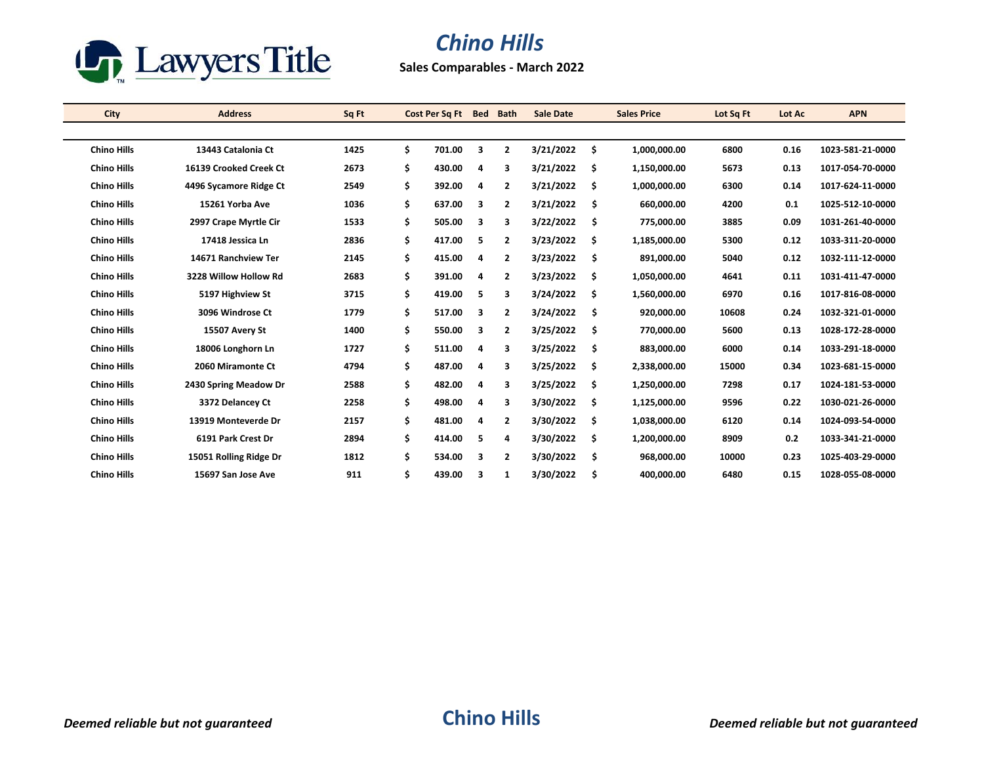

## *Chino Hills*

**Sales Comparables - March 2022**

| <b>City</b>        | <b>Address</b>         | Sq Ft | Cost Per Sq Ft | <b>Bed</b>              | <b>Bath</b>    | <b>Sale Date</b> |     | <b>Sales Price</b> | Lot Sq Ft | Lot Ac | <b>APN</b>       |
|--------------------|------------------------|-------|----------------|-------------------------|----------------|------------------|-----|--------------------|-----------|--------|------------------|
|                    |                        |       |                |                         |                |                  |     |                    |           |        |                  |
| <b>Chino Hills</b> | 13443 Catalonia Ct     | 1425  | \$<br>701.00   | 3                       | $\overline{2}$ | 3/21/2022        | \$  | 1,000,000.00       | 6800      | 0.16   | 1023-581-21-0000 |
| <b>Chino Hills</b> | 16139 Crooked Creek Ct | 2673  | \$<br>430.00   | 4                       | 3              | 3/21/2022        | \$  | 1,150,000.00       | 5673      | 0.13   | 1017-054-70-0000 |
| <b>Chino Hills</b> | 4496 Sycamore Ridge Ct | 2549  | \$<br>392.00   | $\overline{a}$          | $\overline{2}$ | 3/21/2022        | \$. | 1,000,000.00       | 6300      | 0.14   | 1017-624-11-0000 |
| <b>Chino Hills</b> | 15261 Yorba Ave        | 1036  | \$<br>637.00   | 3                       | $\overline{2}$ | 3/21/2022        | \$  | 660,000.00         | 4200      | 0.1    | 1025-512-10-0000 |
| <b>Chino Hills</b> | 2997 Crape Myrtle Cir  | 1533  | \$<br>505.00   | 3                       | 3              | 3/22/2022        | \$  | 775,000.00         | 3885      | 0.09   | 1031-261-40-0000 |
| <b>Chino Hills</b> | 17418 Jessica Ln       | 2836  | \$<br>417.00   | 5                       | $\overline{2}$ | 3/23/2022        | \$  | 1,185,000.00       | 5300      | 0.12   | 1033-311-20-0000 |
| <b>Chino Hills</b> | 14671 Ranchview Ter    | 2145  | \$<br>415.00   | 4                       | $\overline{2}$ | 3/23/2022        | \$  | 891,000.00         | 5040      | 0.12   | 1032-111-12-0000 |
| <b>Chino Hills</b> | 3228 Willow Hollow Rd  | 2683  | \$<br>391.00   | 4                       | 2              | 3/23/2022        | \$  | 1,050,000.00       | 4641      | 0.11   | 1031-411-47-0000 |
| <b>Chino Hills</b> | 5197 Highview St       | 3715  | \$<br>419.00   | 5                       | з              | 3/24/2022        | \$  | 1,560,000.00       | 6970      | 0.16   | 1017-816-08-0000 |
| <b>Chino Hills</b> | 3096 Windrose Ct       | 1779  | \$<br>517.00   | 3                       | $\overline{2}$ | 3/24/2022        | \$  | 920,000.00         | 10608     | 0.24   | 1032-321-01-0000 |
| <b>Chino Hills</b> | 15507 Avery St         | 1400  | \$<br>550.00   | $\overline{\mathbf{3}}$ | $\overline{2}$ | 3/25/2022        | \$  | 770,000.00         | 5600      | 0.13   | 1028-172-28-0000 |
| <b>Chino Hills</b> | 18006 Longhorn Ln      | 1727  | \$<br>511.00   | 4                       | 3              | 3/25/2022        | \$  | 883.000.00         | 6000      | 0.14   | 1033-291-18-0000 |
| <b>Chino Hills</b> | 2060 Miramonte Ct      | 4794  | \$<br>487.00   | 4                       | 3              | 3/25/2022        | \$  | 2.338.000.00       | 15000     | 0.34   | 1023-681-15-0000 |
| <b>Chino Hills</b> | 2430 Spring Meadow Dr  | 2588  | \$<br>482.00   | 4                       | 3              | 3/25/2022        | \$  | 1,250,000.00       | 7298      | 0.17   | 1024-181-53-0000 |
| <b>Chino Hills</b> | 3372 Delancey Ct       | 2258  | \$<br>498.00   | 4                       | 3              | 3/30/2022        | \$. | 1,125,000.00       | 9596      | 0.22   | 1030-021-26-0000 |
| <b>Chino Hills</b> | 13919 Monteverde Dr    | 2157  | \$<br>481.00   | 4                       | $\overline{2}$ | 3/30/2022        | \$  | 1,038,000.00       | 6120      | 0.14   | 1024-093-54-0000 |
| <b>Chino Hills</b> | 6191 Park Crest Dr     | 2894  | \$<br>414.00   | 5                       | 4              | 3/30/2022        | \$  | 1,200,000.00       | 8909      | 0.2    | 1033-341-21-0000 |
| <b>Chino Hills</b> | 15051 Rolling Ridge Dr | 1812  | \$<br>534.00   | 3                       | $\overline{2}$ | 3/30/2022        | \$  | 968,000.00         | 10000     | 0.23   | 1025-403-29-0000 |
| <b>Chino Hills</b> | 15697 San Jose Ave     | 911   | \$<br>439.00   | 3                       | 1              | 3/30/2022        | \$  | 400,000.00         | 6480      | 0.15   | 1028-055-08-0000 |